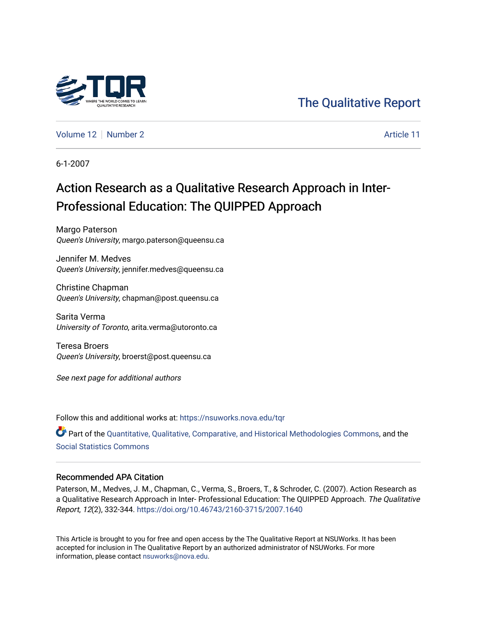

# [The Qualitative Report](https://nsuworks.nova.edu/tqr)

[Volume 12](https://nsuworks.nova.edu/tqr/vol12) [Number 2](https://nsuworks.nova.edu/tqr/vol12/iss2) Article 11

6-1-2007

# Action Research as a Qualitative Research Approach in Inter-Professional Education: The QUIPPED Approach

Margo Paterson Queen's University, margo.paterson@queensu.ca

Jennifer M. Medves Queen's University, jennifer.medves@queensu.ca

Christine Chapman Queen's University, chapman@post.queensu.ca

Sarita Verma University of Toronto, arita.verma@utoronto.ca

Teresa Broers Queen's University, broerst@post.queensu.ca

See next page for additional authors

Follow this and additional works at: [https://nsuworks.nova.edu/tqr](https://nsuworks.nova.edu/tqr?utm_source=nsuworks.nova.edu%2Ftqr%2Fvol12%2Fiss2%2F11&utm_medium=PDF&utm_campaign=PDFCoverPages) 

Part of the [Quantitative, Qualitative, Comparative, and Historical Methodologies Commons,](http://network.bepress.com/hgg/discipline/423?utm_source=nsuworks.nova.edu%2Ftqr%2Fvol12%2Fiss2%2F11&utm_medium=PDF&utm_campaign=PDFCoverPages) and the [Social Statistics Commons](http://network.bepress.com/hgg/discipline/1275?utm_source=nsuworks.nova.edu%2Ftqr%2Fvol12%2Fiss2%2F11&utm_medium=PDF&utm_campaign=PDFCoverPages) 

#### Recommended APA Citation

Paterson, M., Medves, J. M., Chapman, C., Verma, S., Broers, T., & Schroder, C. (2007). Action Research as a Qualitative Research Approach in Inter- Professional Education: The QUIPPED Approach. The Qualitative Report, 12(2), 332-344. <https://doi.org/10.46743/2160-3715/2007.1640>

This Article is brought to you for free and open access by the The Qualitative Report at NSUWorks. It has been accepted for inclusion in The Qualitative Report by an authorized administrator of NSUWorks. For more information, please contact [nsuworks@nova.edu.](mailto:nsuworks@nova.edu)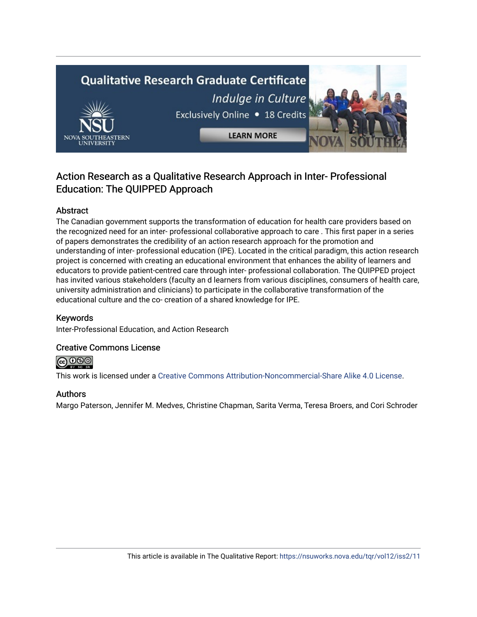# **Qualitative Research Graduate Certificate** Indulge in Culture Exclusively Online . 18 Credits **LEARN MORE**

# Action Research as a Qualitative Research Approach in Inter- Professional Education: The QUIPPED Approach

# Abstract

The Canadian government supports the transformation of education for health care providers based on the recognized need for an inter- professional collaborative approach to care . This first paper in a series of papers demonstrates the credibility of an action research approach for the promotion and understanding of inter- professional education (IPE). Located in the critical paradigm, this action research project is concerned with creating an educational environment that enhances the ability of learners and educators to provide patient-centred care through inter- professional collaboration. The QUIPPED project has invited various stakeholders (faculty an d learners from various disciplines, consumers of health care, university administration and clinicians) to participate in the collaborative transformation of the educational culture and the co- creation of a shared knowledge for IPE.

# Keywords

Inter-Professional Education, and Action Research

## Creative Commons License

**@** 000

This work is licensed under a [Creative Commons Attribution-Noncommercial-Share Alike 4.0 License](https://creativecommons.org/licenses/by-nc-sa/4.0/).

## Authors

Margo Paterson, Jennifer M. Medves, Christine Chapman, Sarita Verma, Teresa Broers, and Cori Schroder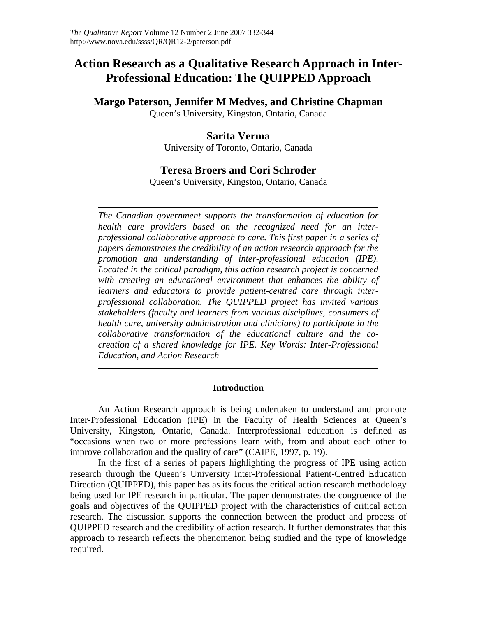# **Action Research as a Qualitative Research Approach in Inter-Professional Education: The QUIPPED Approach**

# **Margo Paterson, Jennifer M Medves, and Christine Chapman**

Queen's University, Kingston, Ontario, Canada

# **Sarita Verma**

University of Toronto, Ontario, Canada

# **Teresa Broers and Cori Schroder**

Queen's University, Kingston, Ontario, Canada

*The Canadian government supports the transformation of education for health care providers based on the recognized need for an interprofessional collaborative approach to care. This first paper in a series of papers demonstrates the credibility of an action research approach for the promotion and understanding of inter-professional education (IPE). Located in the critical paradigm, this action research project is concerned with creating an educational environment that enhances the ability of learners and educators to provide patient-centred care through interprofessional collaboration. The QUIPPED project has invited various stakeholders (faculty and learners from various disciplines, consumers of health care, university administration and clinicians) to participate in the collaborative transformation of the educational culture and the cocreation of a shared knowledge for IPE. Key Words: Inter-Professional Education, and Action Research* 

## **Introduction**

An Action Research approach is being undertaken to understand and promote Inter-Professional Education (IPE) in the Faculty of Health Sciences at Queen's University, Kingston, Ontario, Canada. Interprofessional education is defined as "occasions when two or more professions learn with, from and about each other to improve collaboration and the quality of care" (CAIPE, 1997, p. 19).

In the first of a series of papers highlighting the progress of IPE using action research through the Queen's University Inter-Professional Patient-Centred Education Direction (QUIPPED), this paper has as its focus the critical action research methodology being used for IPE research in particular. The paper demonstrates the congruence of the goals and objectives of the QUIPPED project with the characteristics of critical action research. The discussion supports the connection between the product and process of QUIPPED research and the credibility of action research. It further demonstrates that this approach to research reflects the phenomenon being studied and the type of knowledge required.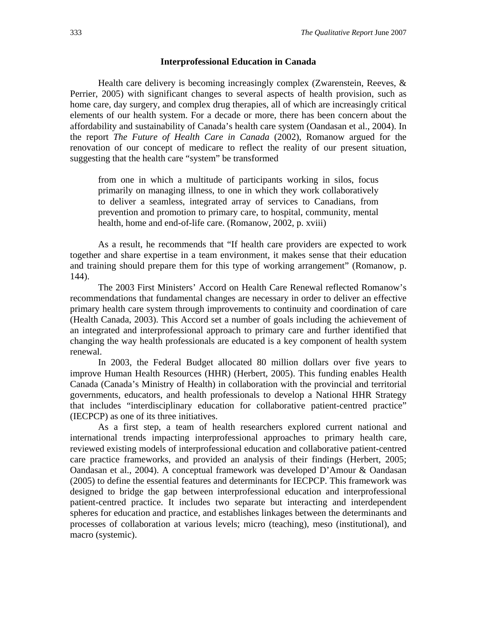#### **Interprofessional Education in Canada**

Health care delivery is becoming increasingly complex (Zwarenstein, Reeves, & Perrier, 2005) with significant changes to several aspects of health provision, such as home care, day surgery, and complex drug therapies, all of which are increasingly critical elements of our health system. For a decade or more, there has been concern about the affordability and sustainability of Canada's health care system (Oandasan et al., 2004). In the report *The Future of Health Care in Canada* (2002), Romanow argued for the renovation of our concept of medicare to reflect the reality of our present situation, suggesting that the health care "system" be transformed

from one in which a multitude of participants working in silos, focus primarily on managing illness, to one in which they work collaboratively to deliver a seamless, integrated array of services to Canadians, from prevention and promotion to primary care, to hospital, community, mental health, home and end-of-life care. (Romanow, 2002, p. xviii)

As a result, he recommends that "If health care providers are expected to work together and share expertise in a team environment, it makes sense that their education and training should prepare them for this type of working arrangement" (Romanow, p. 144).

The 2003 First Ministers' Accord on Health Care Renewal reflected Romanow's recommendations that fundamental changes are necessary in order to deliver an effective primary health care system through improvements to continuity and coordination of care (Health Canada, 2003). This Accord set a number of goals including the achievement of an integrated and interprofessional approach to primary care and further identified that changing the way health professionals are educated is a key component of health system renewal.

In 2003, the Federal Budget allocated 80 million dollars over five years to improve Human Health Resources (HHR) (Herbert, 2005). This funding enables Health Canada (Canada's Ministry of Health) in collaboration with the provincial and territorial governments, educators, and health professionals to develop a National HHR Strategy that includes "interdisciplinary education for collaborative patient-centred practice" (IECPCP) as one of its three initiatives.

As a first step, a team of health researchers explored current national and international trends impacting interprofessional approaches to primary health care, reviewed existing models of interprofessional education and collaborative patient-centred care practice frameworks, and provided an analysis of their findings (Herbert, 2005; Oandasan et al., 2004). A conceptual framework was developed D'Amour & Oandasan (2005) to define the essential features and determinants for IECPCP. This framework was designed to bridge the gap between interprofessional education and interprofessional patient-centred practice. It includes two separate but interacting and interdependent spheres for education and practice, and establishes linkages between the determinants and processes of collaboration at various levels; micro (teaching), meso (institutional), and macro (systemic).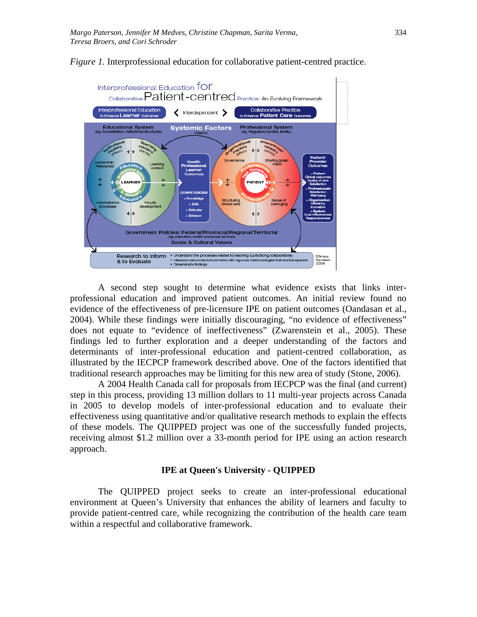

*Figure 1.* Interprofessional education for collaborative patient-centred practice.

A second step sought to determine what evidence exists that links interprofessional education and improved patient outcomes. An initial review found no evidence of the effectiveness of pre-licensure IPE on patient outcomes (Oandasan et al., 2004). While these findings were initially discouraging, "no evidence of effectiveness" does not equate to "evidence of ineffectiveness" (Zwarenstein et al., 2005). These findings led to further exploration and a deeper understanding of the factors and determinants of inter-professional education and patient-centred collaboration, as illustrated by the IECPCP framework described above. One of the factors identified that traditional research approaches may be limiting for this new area of study (Stone, 2006).

A 2004 Health Canada call for proposals from IECPCP was the final (and current) step in this process, providing 13 million dollars to 11 multi-year projects across Canada in 2005 to develop models of inter-professional education and to evaluate their effectiveness using quantitative and/or qualitative research methods to explain the effects of these models. The QUIPPED project was one of the successfully funded projects, receiving almost \$1.2 million over a 33-month period for IPE using an action research approach.

#### **IPE at Queen's University - QUIPPED**

The QUIPPED project seeks to create an inter-professional educational environment at Queen's University that enhances the ability of learners and faculty to provide patient-centred care, while recognizing the contribution of the health care team within a respectful and collaborative framework.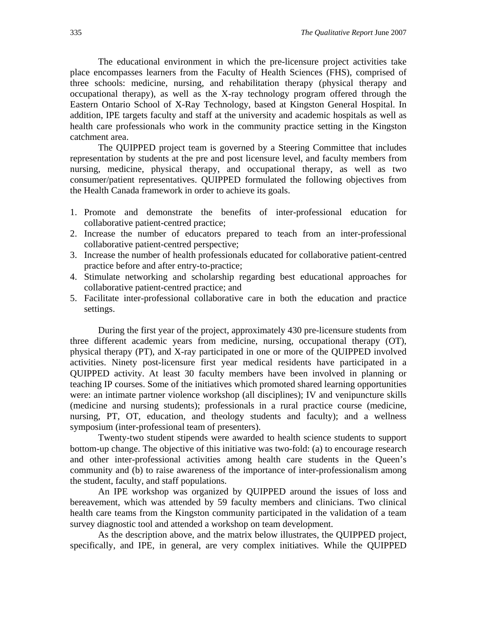The educational environment in which the pre-licensure project activities take place encompasses learners from the Faculty of Health Sciences (FHS), comprised of three schools: medicine, nursing, and rehabilitation therapy (physical therapy and occupational therapy), as well as the X-ray technology program offered through the Eastern Ontario School of X-Ray Technology, based at Kingston General Hospital. In addition, IPE targets faculty and staff at the university and academic hospitals as well as health care professionals who work in the community practice setting in the Kingston catchment area.

The QUIPPED project team is governed by a Steering Committee that includes representation by students at the pre and post licensure level, and faculty members from nursing, medicine, physical therapy, and occupational therapy, as well as two consumer/patient representatives. QUIPPED formulated the following objectives from the Health Canada framework in order to achieve its goals.

- 1. Promote and demonstrate the benefits of inter-professional education for collaborative patient-centred practice;
- 2. Increase the number of educators prepared to teach from an inter-professional collaborative patient-centred perspective;
- 3. Increase the number of health professionals educated for collaborative patient-centred practice before and after entry-to-practice;
- 4. Stimulate networking and scholarship regarding best educational approaches for collaborative patient-centred practice; and
- 5. Facilitate inter-professional collaborative care in both the education and practice settings.

During the first year of the project, approximately 430 pre-licensure students from three different academic years from medicine, nursing, occupational therapy (OT), physical therapy (PT), and X-ray participated in one or more of the QUIPPED involved activities. Ninety post-licensure first year medical residents have participated in a QUIPPED activity. At least 30 faculty members have been involved in planning or teaching IP courses. Some of the initiatives which promoted shared learning opportunities were: an intimate partner violence workshop (all disciplines); IV and venipuncture skills (medicine and nursing students); professionals in a rural practice course (medicine, nursing, PT, OT, education, and theology students and faculty); and a wellness symposium (inter-professional team of presenters).

Twenty-two student stipends were awarded to health science students to support bottom-up change. The objective of this initiative was two-fold: (a) to encourage research and other inter-professional activities among health care students in the Queen's community and (b) to raise awareness of the importance of inter-professionalism among the student, faculty, and staff populations.

An IPE workshop was organized by QUIPPED around the issues of loss and bereavement, which was attended by 59 faculty members and clinicians. Two clinical health care teams from the Kingston community participated in the validation of a team survey diagnostic tool and attended a workshop on team development.

As the description above, and the matrix below illustrates, the QUIPPED project, specifically, and IPE, in general, are very complex initiatives. While the QUIPPED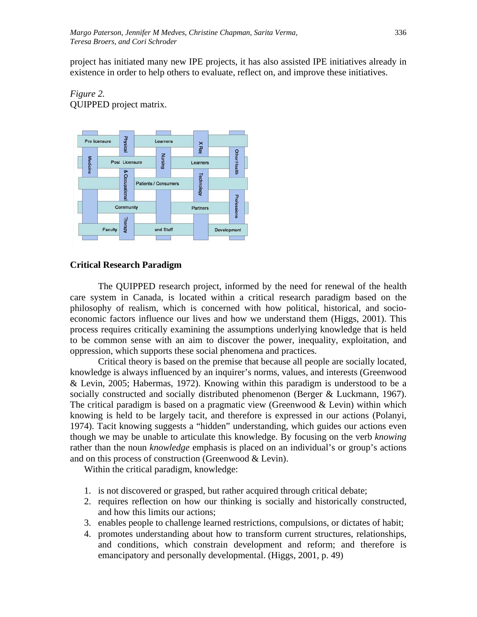project has initiated many new IPE projects, it has also assisted IPE initiatives already in existence in order to help others to evaluate, reflect on, and improve these initiatives.

*Figure 2.*  QUIPPED project matrix.



#### **Critical Research Paradigm**

The QUIPPED research project, informed by the need for renewal of the health care system in Canada, is located within a critical research paradigm based on the philosophy of realism, which is concerned with how political, historical, and socioeconomic factors influence our lives and how we understand them (Higgs, 2001). This process requires critically examining the assumptions underlying knowledge that is held to be common sense with an aim to discover the power, inequality, exploitation, and oppression, which supports these social phenomena and practices.

Critical theory is based on the premise that because all people are socially located, knowledge is always influenced by an inquirer's norms, values, and interests (Greenwood & Levin, 2005; Habermas, 1972). Knowing within this paradigm is understood to be a socially constructed and socially distributed phenomenon (Berger & Luckmann, 1967). The critical paradigm is based on a pragmatic view (Greenwood  $&$  Levin) within which knowing is held to be largely tacit, and therefore is expressed in our actions (Polanyi, 1974). Tacit knowing suggests a "hidden" understanding, which guides our actions even though we may be unable to articulate this knowledge. By focusing on the verb *knowing* rather than the noun *knowledge* emphasis is placed on an individual's or group's actions and on this process of construction (Greenwood & Levin).

Within the critical paradigm, knowledge:

- 1. is not discovered or grasped, but rather acquired through critical debate;
- 2. requires reflection on how our thinking is socially and historically constructed, and how this limits our actions;
- 3. enables people to challenge learned restrictions, compulsions, or dictates of habit;
- 4. promotes understanding about how to transform current structures, relationships, and conditions, which constrain development and reform; and therefore is emancipatory and personally developmental. (Higgs, 2001, p. 49)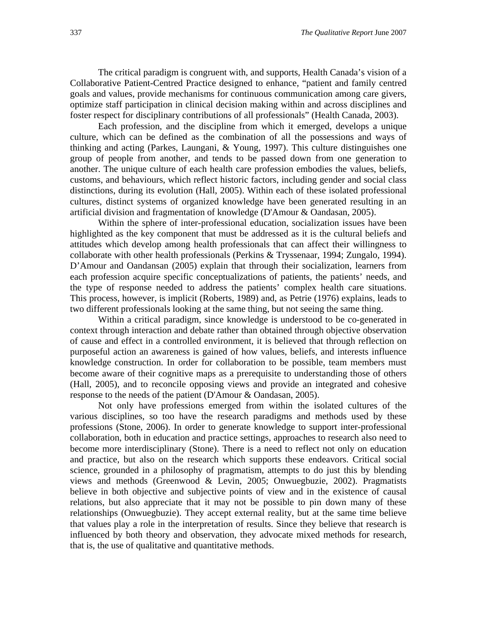The critical paradigm is congruent with, and supports, Health Canada's vision of a Collaborative Patient-Centred Practice designed to enhance, "patient and family centred goals and values, provide mechanisms for continuous communication among care givers, optimize staff participation in clinical decision making within and across disciplines and foster respect for disciplinary contributions of all professionals" (Health Canada, 2003).

Each profession, and the discipline from which it emerged, develops a unique culture, which can be defined as the combination of all the possessions and ways of thinking and acting (Parkes, Laungani, & Young, 1997). This culture distinguishes one group of people from another, and tends to be passed down from one generation to another. The unique culture of each health care profession embodies the values, beliefs, customs, and behaviours, which reflect historic factors, including gender and social class distinctions, during its evolution (Hall, 2005). Within each of these isolated professional cultures, distinct systems of organized knowledge have been generated resulting in an artificial division and fragmentation of knowledge (D'Amour & Oandasan, 2005).

Within the sphere of inter-professional education, socialization issues have been highlighted as the key component that must be addressed as it is the cultural beliefs and attitudes which develop among health professionals that can affect their willingness to collaborate with other health professionals (Perkins & Tryssenaar, 1994; Zungalo, 1994). D'Amour and Oandansan (2005) explain that through their socialization, learners from each profession acquire specific conceptualizations of patients, the patients' needs, and the type of response needed to address the patients' complex health care situations. This process, however, is implicit (Roberts, 1989) and, as Petrie (1976) explains, leads to two different professionals looking at the same thing, but not seeing the same thing.

Within a critical paradigm, since knowledge is understood to be co-generated in context through interaction and debate rather than obtained through objective observation of cause and effect in a controlled environment, it is believed that through reflection on purposeful action an awareness is gained of how values, beliefs, and interests influence knowledge construction. In order for collaboration to be possible, team members must become aware of their cognitive maps as a prerequisite to understanding those of others (Hall, 2005), and to reconcile opposing views and provide an integrated and cohesive response to the needs of the patient (D'Amour & Oandasan, 2005).

Not only have professions emerged from within the isolated cultures of the various disciplines, so too have the research paradigms and methods used by these professions (Stone, 2006). In order to generate knowledge to support inter-professional collaboration, both in education and practice settings, approaches to research also need to become more interdisciplinary (Stone). There is a need to reflect not only on education and practice, but also on the research which supports these endeavors. Critical social science, grounded in a philosophy of pragmatism, attempts to do just this by blending views and methods (Greenwood & Levin, 2005; Onwuegbuzie, 2002). Pragmatists believe in both objective and subjective points of view and in the existence of causal relations, but also appreciate that it may not be possible to pin down many of these relationships (Onwuegbuzie). They accept external reality, but at the same time believe that values play a role in the interpretation of results. Since they believe that research is influenced by both theory and observation, they advocate mixed methods for research, that is, the use of qualitative and quantitative methods.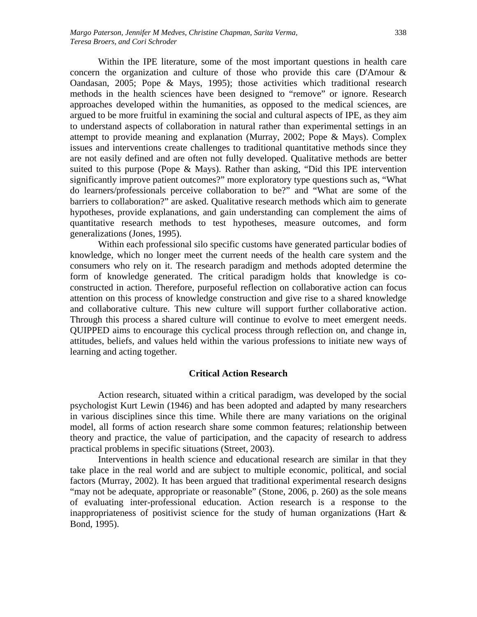Within the IPE literature, some of the most important questions in health care concern the organization and culture of those who provide this care (D'Amour & Oandasan, 2005; Pope & Mays, 1995); those activities which traditional research methods in the health sciences have been designed to "remove" or ignore. Research approaches developed within the humanities, as opposed to the medical sciences, are argued to be more fruitful in examining the social and cultural aspects of IPE, as they aim to understand aspects of collaboration in natural rather than experimental settings in an attempt to provide meaning and explanation (Murray, 2002; Pope & Mays). Complex issues and interventions create challenges to traditional quantitative methods since they are not easily defined and are often not fully developed. Qualitative methods are better suited to this purpose (Pope & Mays). Rather than asking, "Did this IPE intervention significantly improve patient outcomes?" more exploratory type questions such as, "What do learners/professionals perceive collaboration to be?" and "What are some of the barriers to collaboration?" are asked. Qualitative research methods which aim to generate hypotheses, provide explanations, and gain understanding can complement the aims of quantitative research methods to test hypotheses, measure outcomes, and form generalizations (Jones, 1995).

Within each professional silo specific customs have generated particular bodies of knowledge, which no longer meet the current needs of the health care system and the consumers who rely on it. The research paradigm and methods adopted determine the form of knowledge generated. The critical paradigm holds that knowledge is coconstructed in action. Therefore, purposeful reflection on collaborative action can focus attention on this process of knowledge construction and give rise to a shared knowledge and collaborative culture. This new culture will support further collaborative action. Through this process a shared culture will continue to evolve to meet emergent needs. QUIPPED aims to encourage this cyclical process through reflection on, and change in, attitudes, beliefs, and values held within the various professions to initiate new ways of learning and acting together.

#### **Critical Action Research**

Action research, situated within a critical paradigm, was developed by the social psychologist Kurt Lewin (1946) and has been adopted and adapted by many researchers in various disciplines since this time. While there are many variations on the original model, all forms of action research share some common features; relationship between theory and practice, the value of participation, and the capacity of research to address practical problems in specific situations (Street, 2003).

Interventions in health science and educational research are similar in that they take place in the real world and are subject to multiple economic, political, and social factors (Murray, 2002). It has been argued that traditional experimental research designs "may not be adequate, appropriate or reasonable" (Stone, 2006, p. 260) as the sole means of evaluating inter-professional education. Action research is a response to the inappropriateness of positivist science for the study of human organizations (Hart  $\&$ Bond, 1995).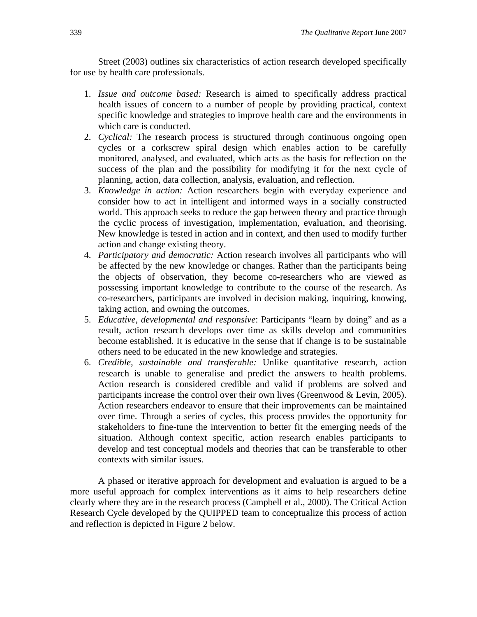Street (2003) outlines six characteristics of action research developed specifically for use by health care professionals.

- 1. *Issue and outcome based:* Research is aimed to specifically address practical health issues of concern to a number of people by providing practical, context specific knowledge and strategies to improve health care and the environments in which care is conducted.
- 2. *Cyclical:* The research process is structured through continuous ongoing open cycles or a corkscrew spiral design which enables action to be carefully monitored, analysed, and evaluated, which acts as the basis for reflection on the success of the plan and the possibility for modifying it for the next cycle of planning, action, data collection, analysis, evaluation, and reflection.
- 3. *Knowledge in action:* Action researchers begin with everyday experience and consider how to act in intelligent and informed ways in a socially constructed world. This approach seeks to reduce the gap between theory and practice through the cyclic process of investigation, implementation, evaluation, and theorising. New knowledge is tested in action and in context, and then used to modify further action and change existing theory.
- 4. *Participatory and democratic:* Action research involves all participants who will be affected by the new knowledge or changes. Rather than the participants being the objects of observation, they become co-researchers who are viewed as possessing important knowledge to contribute to the course of the research. As co-researchers, participants are involved in decision making, inquiring, knowing, taking action, and owning the outcomes.
- 5. *Educative, developmental and responsive*: Participants "learn by doing" and as a result, action research develops over time as skills develop and communities become established. It is educative in the sense that if change is to be sustainable others need to be educated in the new knowledge and strategies.
- 6. *Credible, sustainable and transferable:* Unlike quantitative research, action research is unable to generalise and predict the answers to health problems. Action research is considered credible and valid if problems are solved and participants increase the control over their own lives (Greenwood & Levin, 2005). Action researchers endeavor to ensure that their improvements can be maintained over time. Through a series of cycles, this process provides the opportunity for stakeholders to fine-tune the intervention to better fit the emerging needs of the situation. Although context specific, action research enables participants to develop and test conceptual models and theories that can be transferable to other contexts with similar issues.

A phased or iterative approach for development and evaluation is argued to be a more useful approach for complex interventions as it aims to help researchers define clearly where they are in the research process (Campbell et al., 2000). The Critical Action Research Cycle developed by the QUIPPED team to conceptualize this process of action and reflection is depicted in Figure 2 below.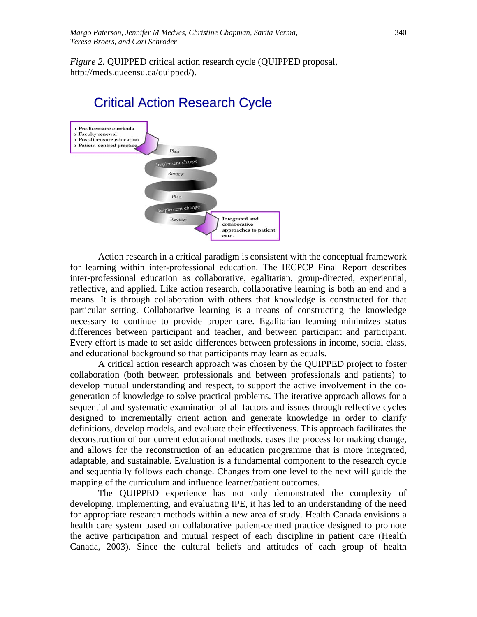*Figure 2.* QUIPPED critical action research cycle (QUIPPED proposal, http://meds.queensu.ca/quipped/).

# Critical Action Research Cycle



Action research in a critical paradigm is consistent with the conceptual framework for learning within inter-professional education. The IECPCP Final Report describes inter-professional education as collaborative, egalitarian, group-directed, experiential, reflective, and applied. Like action research, collaborative learning is both an end and a means. It is through collaboration with others that knowledge is constructed for that particular setting. Collaborative learning is a means of constructing the knowledge necessary to continue to provide proper care. Egalitarian learning minimizes status differences between participant and teacher, and between participant and participant. Every effort is made to set aside differences between professions in income, social class, and educational background so that participants may learn as equals.

A critical action research approach was chosen by the QUIPPED project to foster collaboration (both between professionals and between professionals and patients) to develop mutual understanding and respect, to support the active involvement in the cogeneration of knowledge to solve practical problems. The iterative approach allows for a sequential and systematic examination of all factors and issues through reflective cycles designed to incrementally orient action and generate knowledge in order to clarify definitions, develop models, and evaluate their effectiveness. This approach facilitates the deconstruction of our current educational methods, eases the process for making change, and allows for the reconstruction of an education programme that is more integrated, adaptable, and sustainable. Evaluation is a fundamental component to the research cycle and sequentially follows each change. Changes from one level to the next will guide the mapping of the curriculum and influence learner/patient outcomes.

The QUIPPED experience has not only demonstrated the complexity of developing, implementing, and evaluating IPE, it has led to an understanding of the need for appropriate research methods within a new area of study. Health Canada envisions a health care system based on collaborative patient-centred practice designed to promote the active participation and mutual respect of each discipline in patient care (Health Canada, 2003). Since the cultural beliefs and attitudes of each group of health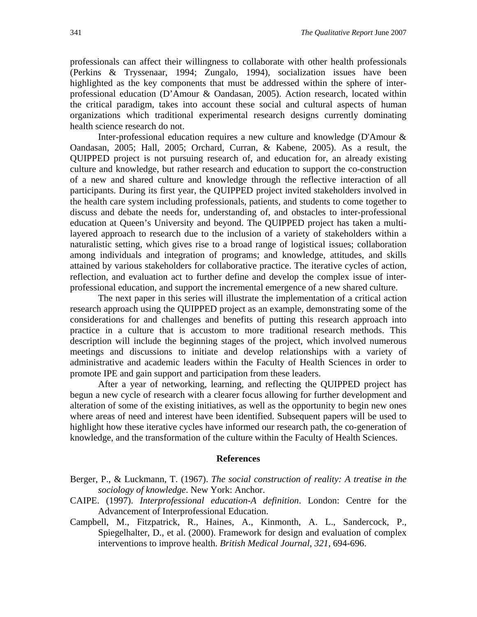professionals can affect their willingness to collaborate with other health professionals (Perkins & Tryssenaar, 1994; Zungalo, 1994), socialization issues have been highlighted as the key components that must be addressed within the sphere of interprofessional education (D'Amour & Oandasan, 2005). Action research, located within the critical paradigm, takes into account these social and cultural aspects of human organizations which traditional experimental research designs currently dominating health science research do not.

Inter-professional education requires a new culture and knowledge (D'Amour & Oandasan, 2005; Hall, 2005; Orchard, Curran, & Kabene, 2005). As a result, the QUIPPED project is not pursuing research of, and education for, an already existing culture and knowledge, but rather research and education to support the co-construction of a new and shared culture and knowledge through the reflective interaction of all participants. During its first year, the QUIPPED project invited stakeholders involved in the health care system including professionals, patients, and students to come together to discuss and debate the needs for, understanding of, and obstacles to inter-professional education at Queen's University and beyond. The QUIPPED project has taken a multilayered approach to research due to the inclusion of a variety of stakeholders within a naturalistic setting, which gives rise to a broad range of logistical issues; collaboration among individuals and integration of programs; and knowledge, attitudes, and skills attained by various stakeholders for collaborative practice. The iterative cycles of action, reflection, and evaluation act to further define and develop the complex issue of interprofessional education, and support the incremental emergence of a new shared culture.

The next paper in this series will illustrate the implementation of a critical action research approach using the QUIPPED project as an example, demonstrating some of the considerations for and challenges and benefits of putting this research approach into practice in a culture that is accustom to more traditional research methods. This description will include the beginning stages of the project, which involved numerous meetings and discussions to initiate and develop relationships with a variety of administrative and academic leaders within the Faculty of Health Sciences in order to promote IPE and gain support and participation from these leaders.

After a year of networking, learning, and reflecting the QUIPPED project has begun a new cycle of research with a clearer focus allowing for further development and alteration of some of the existing initiatives, as well as the opportunity to begin new ones where areas of need and interest have been identified. Subsequent papers will be used to highlight how these iterative cycles have informed our research path, the co-generation of knowledge, and the transformation of the culture within the Faculty of Health Sciences.

#### **References**

- Berger, P., & Luckmann, T. (1967). *The social construction of reality: A treatise in the sociology of knowledge*. New York: Anchor.
- CAIPE. (1997). *Interprofessional education-A definition*. London: Centre for the Advancement of Interprofessional Education.
- Campbell, M., Fitzpatrick, R., Haines, A., Kinmonth, A. L., Sandercock, P., Spiegelhalter, D., et al. (2000). Framework for design and evaluation of complex interventions to improve health. *British Medical Journal, 321*, 694-696.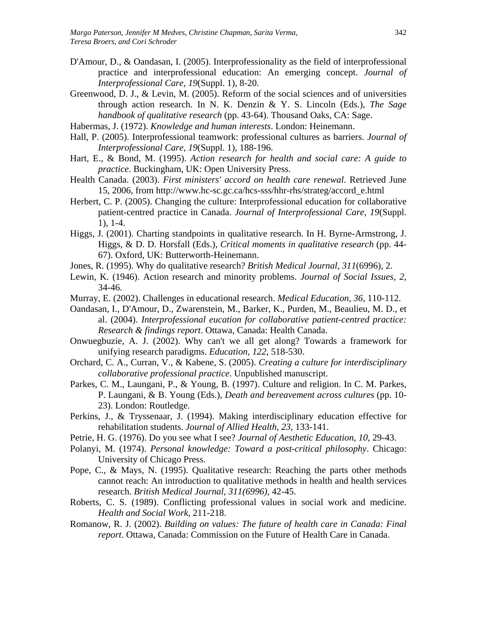- D'Amour, D., & Oandasan, I. (2005). Interprofessionality as the field of interprofessional practice and interprofessional education: An emerging concept. *Journal of Interprofessional Care, 19*(Suppl. 1), 8-20.
- Greenwood, D. J., & Levin, M. (2005). Reform of the social sciences and of universities through action research. In N. K. Denzin & Y. S. Lincoln (Eds.), *The Sage handbook of qualitative research* (pp. 43-64). Thousand Oaks, CA: Sage.
- Habermas, J. (1972). *Knowledge and human interests*. London: Heinemann.
- Hall, P. (2005). Interprofessional teamwork: professional cultures as barriers. *Journal of Interprofessional Care, 19*(Suppl. 1), 188-196.
- Hart, E., & Bond, M. (1995). *Action research for health and social care: A guide to practice*. Buckingham, UK: Open University Press.
- Health Canada. (2003). *First ministers' accord on health care renewal*. Retrieved June 15, 2006, from http://www.hc-sc.gc.ca/hcs-sss/hhr-rhs/strateg/accord\_e.html
- Herbert, C. P. (2005). Changing the culture: Interprofessional education for collaborative patient-centred practice in Canada. *Journal of Interprofessional Care, 19*(Suppl. 1), 1-4.
- Higgs, J. (2001). Charting standpoints in qualitative research. In H. Byrne-Armstrong, J. Higgs, & D. D. Horsfall (Eds.), *Critical moments in qualitative research* (pp. 44- 67). Oxford, UK: Butterworth-Heinemann.
- Jones, R. (1995). Why do qualitative research? *British Medical Journal, 311*(6996), 2.
- Lewin, K. (1946). Action research and minority problems. *Journal of Social Issues, 2*, 34-46.
- Murray, E. (2002). Challenges in educational research. *Medical Education, 36*, 110-112.
- Oandasan, I., D'Amour, D., Zwarenstein, M., Barker, K., Purden, M., Beaulieu, M. D., et al. (2004). *Interprofessional eucation for collaborative patient-centred practice: Research & findings report*. Ottawa, Canada: Health Canada.
- Onwuegbuzie, A. J. (2002). Why can't we all get along? Towards a framework for unifying research paradigms. *Education, 122*, 518-530.
- Orchard, C. A., Curran, V., & Kabene, S. (2005). *Creating a culture for interdisciplinary collaborative professional practice*. Unpublished manuscript.
- Parkes, C. M., Laungani, P., & Young, B. (1997). Culture and religion. In C. M. Parkes, P. Laungani, & B. Young (Eds.), *Death and bereavement across cultures* (pp. 10- 23). London: Routledge.
- Perkins, J., & Tryssenaar, J. (1994). Making interdisciplinary education effective for rehabilitation students. *Journal of Allied Health, 23*, 133-141.
- Petrie, H. G. (1976). Do you see what I see? *Journal of Aesthetic Education, 10*, 29-43.
- Polanyi, M. (1974). *Personal knowledge: Toward a post-critical philosophy*. Chicago: University of Chicago Press.
- Pope, C., & Mays, N. (1995). Qualitative research: Reaching the parts other methods cannot reach: An introduction to qualitative methods in health and health services research. *British Medical Journal, 311(6996)*, 42-45.
- Roberts, C. S. (1989). Conflicting professional values in social work and medicine. *Health and Social Work*, 211-218.
- Romanow, R. J. (2002). *Building on values: The future of health care in Canada: Final report*. Ottawa, Canada: Commission on the Future of Health Care in Canada.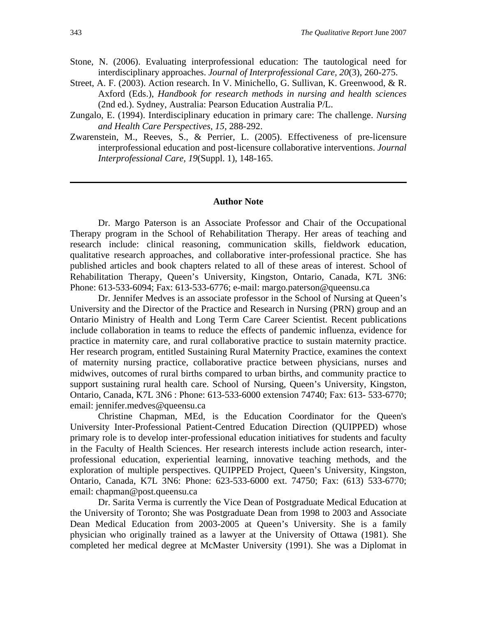- Stone, N. (2006). Evaluating interprofessional education: The tautological need for interdisciplinary approaches. *Journal of Interprofessional Care, 20*(3), 260-275.
- Street, A. F. (2003). Action research. In V. Minichello, G. Sullivan, K. Greenwood, & R. Axford (Eds.), *Handbook for research methods in nursing and health sciences* (2nd ed.). Sydney, Australia: Pearson Education Australia P/L.
- Zungalo, E. (1994). Interdisciplinary education in primary care: The challenge. *Nursing and Health Care Perspectives, 15*, 288-292.
- Zwarenstein, M., Reeves, S., & Perrier, L. (2005). Effectiveness of pre-licensure interprofessional education and post-licensure collaborative interventions. *Journal Interprofessional Care, 19*(Suppl. 1), 148-165.

#### **Author Note**

Dr. Margo Paterson is an Associate Professor and Chair of the Occupational Therapy program in the School of Rehabilitation Therapy. Her areas of teaching and research include: clinical reasoning, communication skills, fieldwork education, qualitative research approaches, and collaborative inter-professional practice. She has published articles and book chapters related to all of these areas of interest. School of Rehabilitation Therapy, Queen's University, Kingston, Ontario, Canada, K7L 3N6: Phone: 613-533-6094; Fax: 613-533-6776; e-mail: margo.paterson@queensu.ca

Dr. Jennifer Medves is an associate professor in the School of Nursing at Queen's University and the Director of the Practice and Research in Nursing (PRN) group and an Ontario Ministry of Health and Long Term Care Career Scientist. Recent publications include collaboration in teams to reduce the effects of pandemic influenza, evidence for practice in maternity care, and rural collaborative practice to sustain maternity practice. Her research program, entitled Sustaining Rural Maternity Practice, examines the context of maternity nursing practice, collaborative practice between physicians, nurses and midwives, outcomes of rural births compared to urban births, and community practice to support sustaining rural health care. School of Nursing, Queen's University, Kingston, Ontario, Canada, K7L 3N6 : Phone: 613-533-6000 extension 74740; Fax: 613- 533-6770; email: jennifer.medves@queensu.ca

Christine Chapman, MEd, is the Education Coordinator for the Queen's University Inter-Professional Patient-Centred Education Direction (QUIPPED) whose primary role is to develop inter-professional education initiatives for students and faculty in the Faculty of Health Sciences. Her research interests include action research, interprofessional education, experiential learning, innovative teaching methods, and the exploration of multiple perspectives. QUIPPED Project, Queen's University, Kingston, Ontario, Canada, K7L 3N6: Phone: 623-533-6000 ext. 74750; Fax: (613) 533-6770; email: chapman@post.queensu.ca

Dr. Sarita Verma is currently the Vice Dean of Postgraduate Medical Education at the University of Toronto; She was Postgraduate Dean from 1998 to 2003 and Associate Dean Medical Education from 2003-2005 at Queen's University. She is a family physician who originally trained as a lawyer at the University of Ottawa (1981). She completed her medical degree at McMaster University (1991). She was a Diplomat in